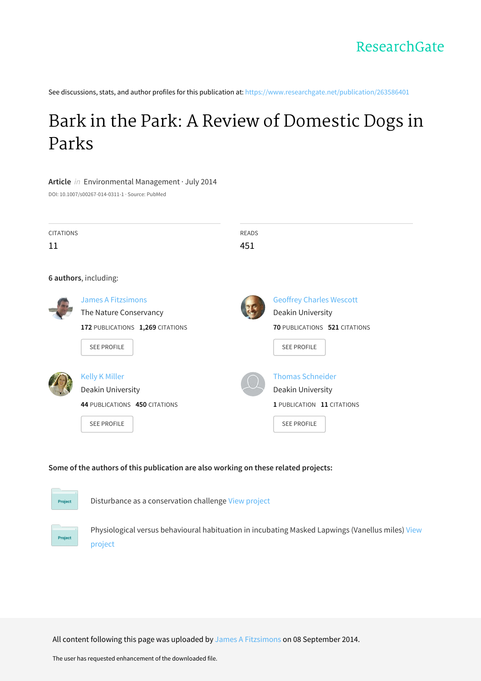See discussions, stats, and author profiles for this publication at: [https://www.researchgate.net/publication/263586401](https://www.researchgate.net/publication/263586401_Bark_in_the_Park_A_Review_of_Domestic_Dogs_in_Parks?enrichId=rgreq-f83dd0351f3c25a78fa606db966a3654-XXX&enrichSource=Y292ZXJQYWdlOzI2MzU4NjQwMTtBUzoxMzkwOTQ2ODQzNDQzMjBAMTQxMDE3NDE2NTA0MA%3D%3D&el=1_x_2&_esc=publicationCoverPdf)

# Bark in the Park: A Review of [Domestic](https://www.researchgate.net/publication/263586401_Bark_in_the_Park_A_Review_of_Domestic_Dogs_in_Parks?enrichId=rgreq-f83dd0351f3c25a78fa606db966a3654-XXX&enrichSource=Y292ZXJQYWdlOzI2MzU4NjQwMTtBUzoxMzkwOTQ2ODQzNDQzMjBAMTQxMDE3NDE2NTA0MA%3D%3D&el=1_x_3&_esc=publicationCoverPdf) Dogs in Parks

**Article** in Environmental Management · July 2014

DOI: 10.1007/s00267-014-0311-1 · Source: PubMed

| <b>CITATIONS</b>      |                                  | <b>READS</b> |                                      |  |
|-----------------------|----------------------------------|--------------|--------------------------------------|--|
| 11                    |                                  | 451          |                                      |  |
|                       |                                  |              |                                      |  |
| 6 authors, including: |                                  |              |                                      |  |
|                       | James A Fitzsimons               |              | <b>Geoffrey Charles Wescott</b>      |  |
|                       | The Nature Conservancy           |              | Deakin University                    |  |
|                       | 172 PUBLICATIONS 1,269 CITATIONS |              | <b>70 PUBLICATIONS 521 CITATIONS</b> |  |
|                       | <b>SEE PROFILE</b>               |              | <b>SEE PROFILE</b>                   |  |
|                       |                                  |              |                                      |  |
|                       | <b>Kelly K Miller</b>            |              | <b>Thomas Schneider</b>              |  |
|                       | Deakin University                |              | Deakin University                    |  |
|                       | 44 PUBLICATIONS 450 CITATIONS    |              | 1 PUBLICATION 11 CITATIONS           |  |
|                       | <b>SEE PROFILE</b>               |              | <b>SEE PROFILE</b>                   |  |
|                       |                                  |              |                                      |  |

# **Some of the authors of this publication are also working on these related projects:**



Disturbance as a conservation challenge View [project](https://www.researchgate.net/project/Disturbance-as-a-conservation-challenge?enrichId=rgreq-f83dd0351f3c25a78fa606db966a3654-XXX&enrichSource=Y292ZXJQYWdlOzI2MzU4NjQwMTtBUzoxMzkwOTQ2ODQzNDQzMjBAMTQxMDE3NDE2NTA0MA%3D%3D&el=1_x_9&_esc=publicationCoverPdf)



[Physiological](https://www.researchgate.net/project/Physiological-versus-behavioural-habituation-in-incubating-Masked-Lapwings-Vanellus-miles?enrichId=rgreq-f83dd0351f3c25a78fa606db966a3654-XXX&enrichSource=Y292ZXJQYWdlOzI2MzU4NjQwMTtBUzoxMzkwOTQ2ODQzNDQzMjBAMTQxMDE3NDE2NTA0MA%3D%3D&el=1_x_9&_esc=publicationCoverPdf) versus behavioural habituation in incubating Masked Lapwings (Vanellus miles) View project

All content following this page was uploaded by James A [Fitzsimons](https://www.researchgate.net/profile/James_Fitzsimons?enrichId=rgreq-f83dd0351f3c25a78fa606db966a3654-XXX&enrichSource=Y292ZXJQYWdlOzI2MzU4NjQwMTtBUzoxMzkwOTQ2ODQzNDQzMjBAMTQxMDE3NDE2NTA0MA%3D%3D&el=1_x_10&_esc=publicationCoverPdf) on 08 September 2014.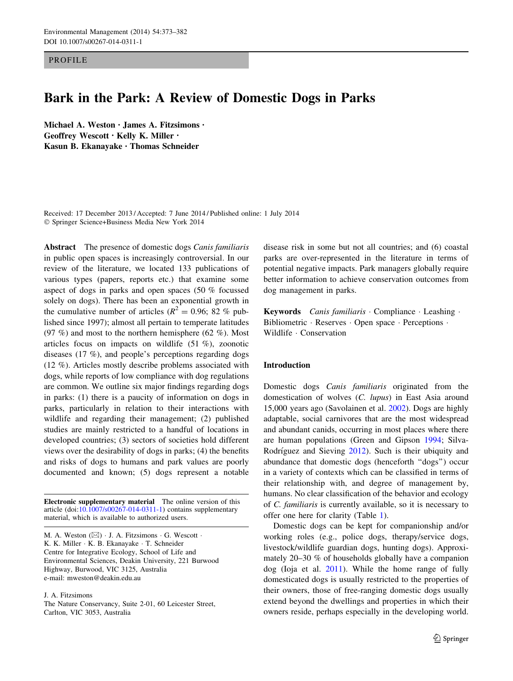**PROFILE** 

# Bark in the Park: A Review of Domestic Dogs in Parks

Michael A. Weston • James A. Fitzsimons • Geoffrey Wescott • Kelly K. Miller • Kasun B. Ekanayake • Thomas Schneider

Received: 17 December 2013 / Accepted: 7 June 2014 / Published online: 1 July 2014 - Springer Science+Business Media New York 2014

Abstract The presence of domestic dogs Canis familiaris in public open spaces is increasingly controversial. In our review of the literature, we located 133 publications of various types (papers, reports etc.) that examine some aspect of dogs in parks and open spaces (50 % focussed solely on dogs). There has been an exponential growth in the cumulative number of articles ( $R^2 = 0.96$ ; 82 % published since 1997); almost all pertain to temperate latitudes (97 %) and most to the northern hemisphere (62 %). Most articles focus on impacts on wildlife (51 %), zoonotic diseases (17 %), and people's perceptions regarding dogs (12 %). Articles mostly describe problems associated with dogs, while reports of low compliance with dog regulations are common. We outline six major findings regarding dogs in parks: (1) there is a paucity of information on dogs in parks, particularly in relation to their interactions with wildlife and regarding their management; (2) published studies are mainly restricted to a handful of locations in developed countries; (3) sectors of societies hold different views over the desirability of dogs in parks; (4) the benefits and risks of dogs to humans and park values are poorly documented and known; (5) dogs represent a notable

Electronic supplementary material The online version of this article (doi:[10.1007/s00267-014-0311-1\)](http://dx.doi.org/10.1007/s00267-014-0311-1) contains supplementary material, which is available to authorized users.

M. A. Weston  $(\boxtimes) \cdot$  J. A. Fitzsimons  $\cdot$  G. Wescott  $\cdot$ K. K. Miller - K. B. Ekanayake - T. Schneider Centre for Integrative Ecology, School of Life and Environmental Sciences, Deakin University, 221 Burwood Highway, Burwood, VIC 3125, Australia e-mail: mweston@deakin.edu.au

J. A. Fitzsimons

The Nature Conservancy, Suite 2-01, 60 Leicester Street, Carlton, VIC 3053, Australia

disease risk in some but not all countries; and (6) coastal parks are over-represented in the literature in terms of potential negative impacts. Park managers globally require better information to achieve conservation outcomes from dog management in parks.

Keywords Canis familiaris · Compliance · Leashing · Bibliometric · Reserves · Open space · Perceptions · Wildlife - Conservation

#### Introduction

Domestic dogs Canis familiaris originated from the domestication of wolves (C. lupus) in East Asia around 15,000 years ago (Savolainen et al. [2002](#page-10-0)). Dogs are highly adaptable, social carnivores that are the most widespread and abundant canids, occurring in most places where there are human populations (Green and Gipson [1994;](#page-9-0) Silva-Rodríguez and Sieving [2012](#page-10-0)). Such is their ubiquity and abundance that domestic dogs (henceforth ''dogs'') occur in a variety of contexts which can be classified in terms of their relationship with, and degree of management by, humans. No clear classification of the behavior and ecology of C. familiaris is currently available, so it is necessary to offer one here for clarity (Table [1\)](#page-2-0).

Domestic dogs can be kept for companionship and/or working roles (e.g., police dogs, therapy/service dogs, livestock/wildlife guardian dogs, hunting dogs). Approximately 20–30 % of households globally have a companion dog (Ioja et al. [2011](#page-9-0)). While the home range of fully domesticated dogs is usually restricted to the properties of their owners, those of free-ranging domestic dogs usually extend beyond the dwellings and properties in which their owners reside, perhaps especially in the developing world.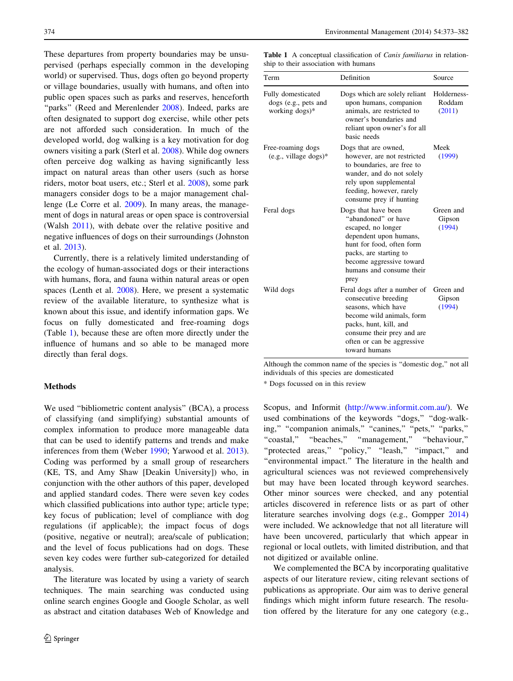<span id="page-2-0"></span>These departures from property boundaries may be unsupervised (perhaps especially common in the developing world) or supervised. Thus, dogs often go beyond property or village boundaries, usually with humans, and often into public open spaces such as parks and reserves, henceforth "parks" (Reed and Merenlender [2008](#page-10-0)). Indeed, parks are often designated to support dog exercise, while other pets are not afforded such consideration. In much of the developed world, dog walking is a key motivation for dog owners visiting a park (Sterl et al. [2008\)](#page-10-0). While dog owners often perceive dog walking as having significantly less impact on natural areas than other users (such as horse riders, motor boat users, etc.; Sterl et al. [2008](#page-10-0)), some park managers consider dogs to be a major management challenge (Le Corre et al. [2009\)](#page-9-0). In many areas, the management of dogs in natural areas or open space is controversial (Walsh [2011](#page-10-0)), with debate over the relative positive and negative influences of dogs on their surroundings (Johnston et al. [2013\)](#page-9-0).

Currently, there is a relatively limited understanding of the ecology of human-associated dogs or their interactions with humans, flora, and fauna within natural areas or open spaces (Lenth et al. [2008\)](#page-9-0). Here, we present a systematic review of the available literature, to synthesize what is known about this issue, and identify information gaps. We focus on fully domesticated and free-roaming dogs (Table 1), because these are often more directly under the influence of humans and so able to be managed more directly than feral dogs.

# Methods

We used "bibliometric content analysis" (BCA), a process of classifying (and simplifying) substantial amounts of complex information to produce more manageable data that can be used to identify patterns and trends and make inferences from them (Weber [1990](#page-10-0); Yarwood et al. [2013](#page-10-0)). Coding was performed by a small group of researchers (KE, TS, and Amy Shaw [Deakin University]) who, in conjunction with the other authors of this paper, developed and applied standard codes. There were seven key codes which classified publications into author type; article type; key focus of publication; level of compliance with dog regulations (if applicable); the impact focus of dogs (positive, negative or neutral); area/scale of publication; and the level of focus publications had on dogs. These seven key codes were further sub-categorized for detailed analysis.

The literature was located by using a variety of search techniques. The main searching was conducted using online search engines Google and Google Scholar, as well as abstract and citation databases Web of Knowledge and

Table 1 A conceptual classification of *Canis familiarus* in relationship to their association with humans

| Term                                                             | Definition                                                                                                                                                                                                        | Source                          |
|------------------------------------------------------------------|-------------------------------------------------------------------------------------------------------------------------------------------------------------------------------------------------------------------|---------------------------------|
| Fully domesticated<br>$\log s$ (e.g., pets and<br>working dogs)* | Dogs which are solely reliant<br>upon humans, companion<br>animals, are restricted to<br>owner's boundaries and<br>reliant upon owner's for all<br>basic needs                                                    | Holderness-<br>Roddam<br>(2011) |
| Free-roaming dogs<br>$(e.g., village dogs)*$                     | Dogs that are owned,<br>however, are not restricted<br>to boundaries, are free to<br>wander, and do not solely<br>rely upon supplemental<br>feeding, however, rarely<br>consume prey if hunting                   | Meek<br>(1999)                  |
| Feral dogs                                                       | Dogs that have been<br>"abandoned" or have<br>escaped, no longer<br>dependent upon humans,<br>hunt for food, often form<br>packs, are starting to<br>become aggressive toward<br>humans and consume their<br>prey | Green and<br>Gipson<br>(1994)   |
| Wild dogs                                                        | Feral dogs after a number of<br>consecutive breeding<br>seasons, which have<br>become wild animals, form<br>packs, hunt, kill, and<br>consume their prey and are<br>often or can be aggressive<br>toward humans   | Green and<br>Gipson<br>(1994)   |

Although the common name of the species is ''domestic dog,'' not all individuals of this species are domesticated

\* Dogs focussed on in this review

Scopus, and Informit (<http://www.informit.com.au/>). We used combinations of the keywords ''dogs,'' ''dog-walking," "companion animals," "canines," "pets," "parks," ''coastal,'' ''beaches,'' ''management,'' ''behaviour,'' "protected areas," "policy," "leash," "impact," and "environmental impact." The literature in the health and agricultural sciences was not reviewed comprehensively but may have been located through keyword searches. Other minor sources were checked, and any potential articles discovered in reference lists or as part of other literature searches involving dogs (e.g., Gompper [2014\)](#page-9-0) were included. We acknowledge that not all literature will have been uncovered, particularly that which appear in regional or local outlets, with limited distribution, and that not digitized or available online.

We complemented the BCA by incorporating qualitative aspects of our literature review, citing relevant sections of publications as appropriate. Our aim was to derive general findings which might inform future research. The resolution offered by the literature for any one category (e.g.,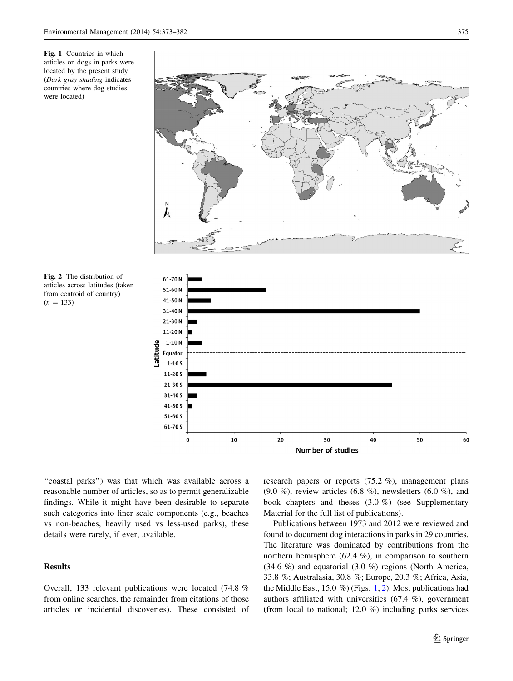Fig. 1 Countries in which articles on dogs in parks were located by the present study (Dark gray shading indicates countries where dog studies were located)







''coastal parks'') was that which was available across a reasonable number of articles, so as to permit generalizable findings. While it might have been desirable to separate such categories into finer scale components (e.g., beaches vs non-beaches, heavily used vs less-used parks), these details were rarely, if ever, available.

# Results

Overall, 133 relevant publications were located (74.8 % from online searches, the remainder from citations of those articles or incidental discoveries). These consisted of research papers or reports (75.2 %), management plans (9.0 %), review articles (6.8 %), newsletters (6.0 %), and

Publications between 1973 and 2012 were reviewed and found to document dog interactions in parks in 29 countries. The literature was dominated by contributions from the northern hemisphere (62.4 %), in comparison to southern (34.6 %) and equatorial (3.0 %) regions (North America, 33.8 %; Australasia, 30.8 %; Europe, 20.3 %; Africa, Asia, the Middle East, 15.0  $\%$ ) (Figs. 1, 2). Most publications had authors affiliated with universities (67.4 %), government (from local to national; 12.0 %) including parks services

book chapters and theses (3.0 %) (see Supplementary

Material for the full list of publications).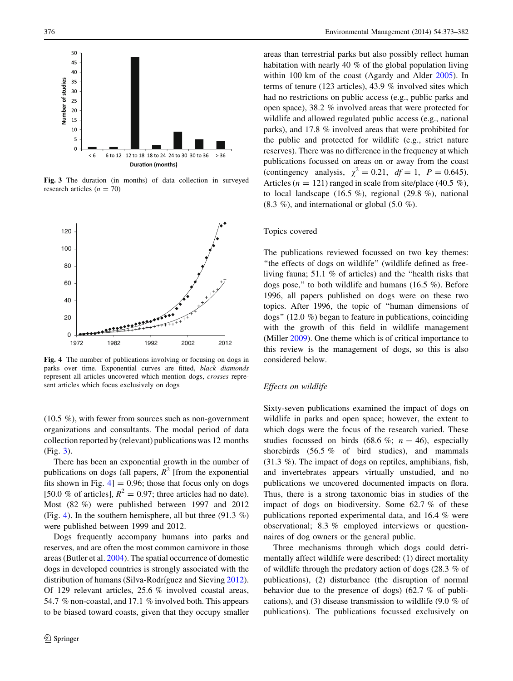

Fig. 3 The duration (in months) of data collection in surveyed research articles  $(n = 70)$ 



Fig. 4 The number of publications involving or focusing on dogs in parks over time. Exponential curves are fitted, black diamonds represent all articles uncovered which mention dogs, crosses represent articles which focus exclusively on dogs

(10.5 %), with fewer from sources such as non-government organizations and consultants. The modal period of data collection reported by (relevant) publications was 12 months (Fig. 3).

There has been an exponential growth in the number of publications on dogs (all papers,  $R^2$  [from the exponential fits shown in Fig.  $4$ ] = 0.96; those that focus only on dogs [50.0 % of articles],  $R^2 = 0.97$ ; three articles had no date). Most (82 %) were published between 1997 and 2012 (Fig. 4). In the southern hemisphere, all but three (91.3 %) were published between 1999 and 2012.

Dogs frequently accompany humans into parks and reserves, and are often the most common carnivore in those areas (Butler et al. [2004](#page-9-0)). The spatial occurrence of domestic dogs in developed countries is strongly associated with the distribution of humans (Silva-Rodríguez and Sieving [2012](#page-10-0)). Of 129 relevant articles, 25.6 % involved coastal areas, 54.7 % non-coastal, and 17.1 % involved both. This appears to be biased toward coasts, given that they occupy smaller areas than terrestrial parks but also possibly reflect human habitation with nearly 40 % of the global population living within 100 km of the coast (Agardy and Alder [2005](#page-9-0)). In terms of tenure (123 articles), 43.9 % involved sites which had no restrictions on public access (e.g., public parks and open space), 38.2 % involved areas that were protected for wildlife and allowed regulated public access (e.g., national parks), and 17.8 % involved areas that were prohibited for the public and protected for wildlife (e.g., strict nature reserves). There was no difference in the frequency at which publications focussed on areas on or away from the coast (contingency analysis,  $\chi^2 = 0.21$ ,  $df = 1$ ,  $P = 0.645$ ). Articles ( $n = 121$ ) ranged in scale from site/place (40.5 %), to local landscape  $(16.5 \%)$ , regional  $(29.8 \%)$ , national  $(8.3\%)$ , and international or global  $(5.0\%)$ .

#### Topics covered

The publications reviewed focussed on two key themes: "the effects of dogs on wildlife" (wildlife defined as freeliving fauna; 51.1 % of articles) and the ''health risks that dogs pose,'' to both wildlife and humans (16.5 %). Before 1996, all papers published on dogs were on these two topics. After 1996, the topic of ''human dimensions of dogs'' (12.0 %) began to feature in publications, coinciding with the growth of this field in wildlife management (Miller [2009\)](#page-9-0). One theme which is of critical importance to this review is the management of dogs, so this is also considered below.

#### Effects on wildlife

Sixty-seven publications examined the impact of dogs on wildlife in parks and open space; however, the extent to which dogs were the focus of the research varied. These studies focussed on birds (68.6 %;  $n = 46$ ), especially shorebirds (56.5 % of bird studies), and mammals (31.3 %). The impact of dogs on reptiles, amphibians, fish, and invertebrates appears virtually unstudied, and no publications we uncovered documented impacts on flora. Thus, there is a strong taxonomic bias in studies of the impact of dogs on biodiversity. Some 62.7 % of these publications reported experimental data, and 16.4 % were observational; 8.3 % employed interviews or questionnaires of dog owners or the general public.

Three mechanisms through which dogs could detrimentally affect wildlife were described: (1) direct mortality of wildlife through the predatory action of dogs (28.3 % of publications), (2) disturbance (the disruption of normal behavior due to the presence of dogs) (62.7 % of publications), and (3) disease transmission to wildlife (9.0 % of publications). The publications focussed exclusively on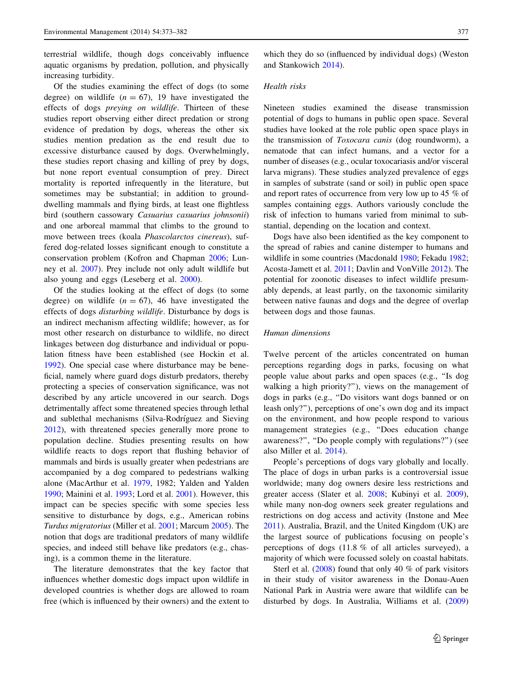terrestrial wildlife, though dogs conceivably influence aquatic organisms by predation, pollution, and physically increasing turbidity.

Of the studies examining the effect of dogs (to some degree) on wildlife  $(n = 67)$ , 19 have investigated the effects of dogs preying on wildlife. Thirteen of these studies report observing either direct predation or strong evidence of predation by dogs, whereas the other six studies mention predation as the end result due to excessive disturbance caused by dogs. Overwhelmingly, these studies report chasing and killing of prey by dogs, but none report eventual consumption of prey. Direct mortality is reported infrequently in the literature, but sometimes may be substantial; in addition to grounddwelling mammals and flying birds, at least one flightless bird (southern cassowary Casuarius casuarius johnsonii) and one arboreal mammal that climbs to the ground to move between trees (koala Phascolarctos cinereus), suffered dog-related losses significant enough to constitute a conservation problem (Kofron and Chapman [2006](#page-9-0); Lunney et al. [2007](#page-9-0)). Prey include not only adult wildlife but also young and eggs (Leseberg et al. [2000](#page-9-0)).

Of the studies looking at the effect of dogs (to some degree) on wildlife  $(n = 67)$ , 46 have investigated the effects of dogs disturbing wildlife. Disturbance by dogs is an indirect mechanism affecting wildlife; however, as for most other research on disturbance to wildlife, no direct linkages between dog disturbance and individual or population fitness have been established (see Hockin et al. [1992\)](#page-9-0). One special case where disturbance may be beneficial, namely where guard dogs disturb predators, thereby protecting a species of conservation significance, was not described by any article uncovered in our search. Dogs detrimentally affect some threatened species through lethal and sublethal mechanisms (Silva-Rodríguez and Sieving [2012\)](#page-10-0), with threatened species generally more prone to population decline. Studies presenting results on how wildlife reacts to dogs report that flushing behavior of mammals and birds is usually greater when pedestrians are accompanied by a dog compared to pedestrians walking alone (MacArthur et al. [1979,](#page-9-0) 1982; Yalden and Yalden [1990;](#page-10-0) Mainini et al. [1993;](#page-9-0) Lord et al. [2001](#page-9-0)). However, this impact can be species specific with some species less sensitive to disturbance by dogs, e.g., American robins Turdus migratorius (Miller et al. [2001;](#page-9-0) Marcum [2005](#page-9-0)). The notion that dogs are traditional predators of many wildlife species, and indeed still behave like predators (e.g., chasing), is a common theme in the literature.

The literature demonstrates that the key factor that influences whether domestic dogs impact upon wildlife in developed countries is whether dogs are allowed to roam free (which is influenced by their owners) and the extent to

which they do so (influenced by individual dogs) (Weston and Stankowich [2014](#page-10-0)).

### Health risks

Nineteen studies examined the disease transmission potential of dogs to humans in public open space. Several studies have looked at the role public open space plays in the transmission of Toxocara canis (dog roundworm), a nematode that can infect humans, and a vector for a number of diseases (e.g., ocular toxocariasis and/or visceral larva migrans). These studies analyzed prevalence of eggs in samples of substrate (sand or soil) in public open space and report rates of occurrence from very low up to 45 % of samples containing eggs. Authors variously conclude the risk of infection to humans varied from minimal to substantial, depending on the location and context.

Dogs have also been identified as the key component to the spread of rabies and canine distemper to humans and wildlife in some countries (Macdonald [1980](#page-9-0); Fekadu [1982](#page-9-0); Acosta-Jamett et al. [2011](#page-9-0); Davlin and VonVille [2012](#page-9-0)). The potential for zoonotic diseases to infect wildlife presumably depends, at least partly, on the taxonomic similarity between native faunas and dogs and the degree of overlap between dogs and those faunas.

#### Human dimensions

Twelve percent of the articles concentrated on human perceptions regarding dogs in parks, focusing on what people value about parks and open spaces (e.g., ''Is dog walking a high priority?''), views on the management of dogs in parks (e.g., ''Do visitors want dogs banned or on leash only?''), perceptions of one's own dog and its impact on the environment, and how people respond to various management strategies (e.g., ''Does education change awareness?'', ''Do people comply with regulations?'') (see also Miller et al. [2014\)](#page-9-0).

People's perceptions of dogs vary globally and locally. The place of dogs in urban parks is a controversial issue worldwide; many dog owners desire less restrictions and greater access (Slater et al. [2008;](#page-10-0) Kubinyi et al. [2009](#page-9-0)), while many non-dog owners seek greater regulations and restrictions on dog access and activity (Instone and Mee [2011](#page-9-0)). Australia, Brazil, and the United Kingdom (UK) are the largest source of publications focusing on people's perceptions of dogs (11.8 % of all articles surveyed), a majority of which were focussed solely on coastal habitats.

Sterl et al. [\(2008](#page-10-0)) found that only 40 % of park visitors in their study of visitor awareness in the Donau-Auen National Park in Austria were aware that wildlife can be disturbed by dogs. In Australia, Williams et al. ([2009\)](#page-10-0)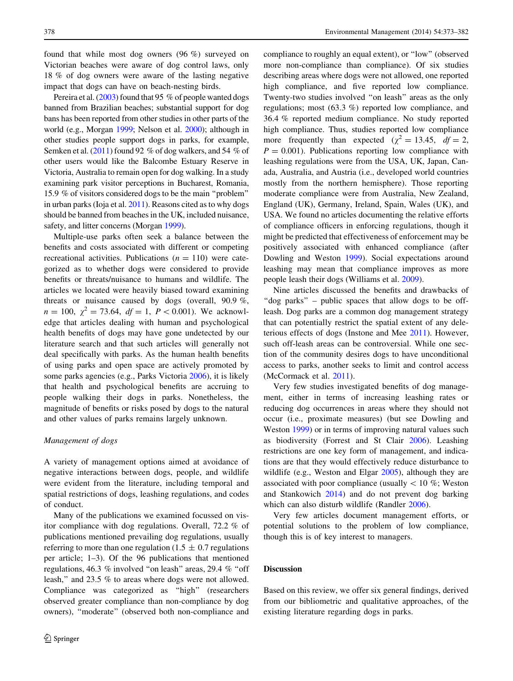found that while most dog owners (96 %) surveyed on Victorian beaches were aware of dog control laws, only 18 % of dog owners were aware of the lasting negative impact that dogs can have on beach-nesting birds.

Pereira et al. ([2003](#page-9-0)) found that 95 % of people wanted dogs banned from Brazilian beaches; substantial support for dog bans has been reported from other studies in other parts of the world (e.g., Morgan [1999](#page-9-0); Nelson et al. [2000](#page-9-0)); although in other studies people support dogs in parks, for example, Semken et al. [\(2011\)](#page-10-0) found 92 % of dog walkers, and 54 % of other users would like the Balcombe Estuary Reserve in Victoria, Australia to remain open for dog walking. In a study examining park visitor perceptions in Bucharest, Romania, 15.9 % of visitors considered dogs to be the main ''problem'' in urban parks (Ioja et al. [2011\)](#page-9-0). Reasons cited as to why dogs should be banned from beaches in the UK, included nuisance, safety, and litter concerns (Morgan [1999](#page-9-0)).

Multiple-use parks often seek a balance between the benefits and costs associated with different or competing recreational activities. Publications ( $n = 110$ ) were categorized as to whether dogs were considered to provide benefits or threats/nuisance to humans and wildlife. The articles we located were heavily biased toward examining threats or nuisance caused by dogs (overall, 90.9 %,  $n = 100$ ,  $\chi^2 = 73.64$ ,  $df = 1$ ,  $P < 0.001$ ). We acknowledge that articles dealing with human and psychological health benefits of dogs may have gone undetected by our literature search and that such articles will generally not deal specifically with parks. As the human health benefits of using parks and open space are actively promoted by some parks agencies (e.g., Parks Victoria [2006\)](#page-9-0), it is likely that health and psychological benefits are accruing to people walking their dogs in parks. Nonetheless, the magnitude of benefits or risks posed by dogs to the natural and other values of parks remains largely unknown.

## Management of dogs

A variety of management options aimed at avoidance of negative interactions between dogs, people, and wildlife were evident from the literature, including temporal and spatial restrictions of dogs, leashing regulations, and codes of conduct.

Many of the publications we examined focussed on visitor compliance with dog regulations. Overall, 72.2 % of publications mentioned prevailing dog regulations, usually referring to more than one regulation (1.5  $\pm$  0.7 regulations per article; 1–3). Of the 96 publications that mentioned regulations, 46.3 % involved ''on leash'' areas, 29.4 % ''off leash,'' and 23.5 % to areas where dogs were not allowed. Compliance was categorized as ''high'' (researchers observed greater compliance than non-compliance by dog owners), ''moderate'' (observed both non-compliance and compliance to roughly an equal extent), or ''low'' (observed more non-compliance than compliance). Of six studies describing areas where dogs were not allowed, one reported high compliance, and five reported low compliance. Twenty-two studies involved ''on leash'' areas as the only regulations; most (63.3 %) reported low compliance, and 36.4 % reported medium compliance. No study reported high compliance. Thus, studies reported low compliance more frequently than expected ( $\chi^2 = 13.45$ ,  $df = 2$ ,  $P = 0.001$ ). Publications reporting low compliance with leashing regulations were from the USA, UK, Japan, Canada, Australia, and Austria (i.e., developed world countries mostly from the northern hemisphere). Those reporting moderate compliance were from Australia, New Zealand, England (UK), Germany, Ireland, Spain, Wales (UK), and USA. We found no articles documenting the relative efforts of compliance officers in enforcing regulations, though it might be predicted that effectiveness of enforcement may be positively associated with enhanced compliance (after Dowling and Weston [1999\)](#page-9-0). Social expectations around leashing may mean that compliance improves as more people leash their dogs (Williams et al. [2009\)](#page-10-0).

Nine articles discussed the benefits and drawbacks of "dog parks" – public spaces that allow dogs to be offleash. Dog parks are a common dog management strategy that can potentially restrict the spatial extent of any deleterious effects of dogs (Instone and Mee [2011\)](#page-9-0). However, such off-leash areas can be controversial. While one section of the community desires dogs to have unconditional access to parks, another seeks to limit and control access (McCormack et al. [2011](#page-9-0)).

Very few studies investigated benefits of dog management, either in terms of increasing leashing rates or reducing dog occurrences in areas where they should not occur (i.e., proximate measures) (but see Dowling and Weston [1999](#page-9-0)) or in terms of improving natural values such as biodiversity (Forrest and St Clair [2006](#page-9-0)). Leashing restrictions are one key form of management, and indications are that they would effectively reduce disturbance to wildlife (e.g., Weston and Elgar [2005\)](#page-10-0), although they are associated with poor compliance (usually  $\lt 10 \%$ ; Weston and Stankowich [2014\)](#page-10-0) and do not prevent dog barking which can also disturb wildlife (Randler [2006\)](#page-10-0).

Very few articles document management efforts, or potential solutions to the problem of low compliance, though this is of key interest to managers.

#### Discussion

Based on this review, we offer six general findings, derived from our bibliometric and qualitative approaches, of the existing literature regarding dogs in parks.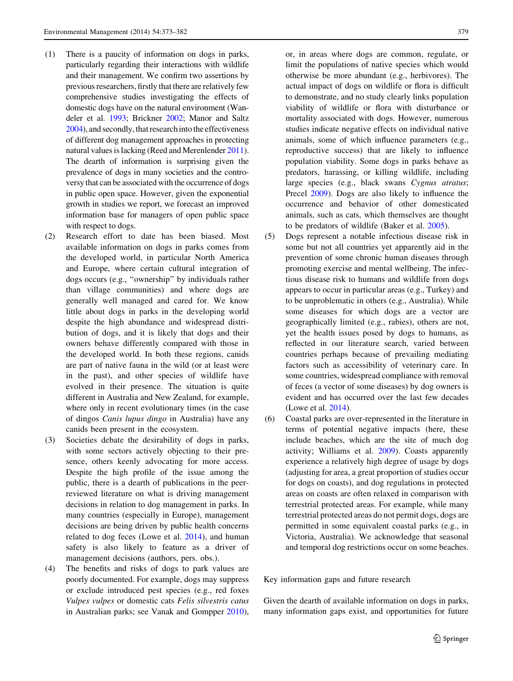- (1) There is a paucity of information on dogs in parks, particularly regarding their interactions with wildlife and their management. We confirm two assertions by previous researchers, firstly that there are relatively few comprehensive studies investigating the effects of domestic dogs have on the natural environment (Wandeler et al. [1993](#page-10-0); Brickner [2002](#page-9-0); Manor and Saltz [2004](#page-9-0)), and secondly, that research into the effectiveness of different dog management approaches in protecting natural values is lacking (Reed and Merenlender [2011](#page-10-0)). The dearth of information is surprising given the prevalence of dogs in many societies and the controversy that can be associated with the occurrence of dogs in public open space. However, given the exponential growth in studies we report, we forecast an improved information base for managers of open public space with respect to dogs.
- (2) Research effort to date has been biased. Most available information on dogs in parks comes from the developed world, in particular North America and Europe, where certain cultural integration of dogs occurs (e.g., ''ownership'' by individuals rather than village communities) and where dogs are generally well managed and cared for. We know little about dogs in parks in the developing world despite the high abundance and widespread distribution of dogs, and it is likely that dogs and their owners behave differently compared with those in the developed world. In both these regions, canids are part of native fauna in the wild (or at least were in the past), and other species of wildlife have evolved in their presence. The situation is quite different in Australia and New Zealand, for example, where only in recent evolutionary times (in the case of dingos Canis lupus dingo in Australia) have any canids been present in the ecosystem.
- (3) Societies debate the desirability of dogs in parks, with some sectors actively objecting to their presence, others keenly advocating for more access. Despite the high profile of the issue among the public, there is a dearth of publications in the peerreviewed literature on what is driving management decisions in relation to dog management in parks. In many countries (especially in Europe), management decisions are being driven by public health concerns related to dog feces (Lowe et al. [2014\)](#page-9-0), and human safety is also likely to feature as a driver of management decisions (authors, pers. obs.).
- (4) The benefits and risks of dogs to park values are poorly documented. For example, dogs may suppress or exclude introduced pest species (e.g., red foxes Vulpes vulpes or domestic cats Felis silvestris catus in Australian parks; see Vanak and Gompper [2010](#page-10-0)),

or, in areas where dogs are common, regulate, or limit the populations of native species which would otherwise be more abundant (e.g., herbivores). The actual impact of dogs on wildlife or flora is difficult to demonstrate, and no study clearly links population viability of wildlife or flora with disturbance or mortality associated with dogs. However, numerous studies indicate negative effects on individual native animals, some of which influence parameters (e.g., reproductive success) that are likely to influence population viability. Some dogs in parks behave as predators, harassing, or killing wildlife, including large species (e.g., black swans Cygnus atratus; Precel [2009\)](#page-9-0). Dogs are also likely to influence the occurrence and behavior of other domesticated animals, such as cats, which themselves are thought to be predators of wildlife (Baker et al. [2005\)](#page-9-0).

- (5) Dogs represent a notable infectious disease risk in some but not all countries yet apparently aid in the prevention of some chronic human diseases through promoting exercise and mental wellbeing. The infectious disease risk to humans and wildlife from dogs appears to occur in particular areas (e.g., Turkey) and to be unproblematic in others (e.g., Australia). While some diseases for which dogs are a vector are geographically limited (e.g., rabies), others are not, yet the health issues posed by dogs to humans, as reflected in our literature search, varied between countries perhaps because of prevailing mediating factors such as accessibility of veterinary care. In some countries, widespread compliance with removal of feces (a vector of some diseases) by dog owners is evident and has occurred over the last few decades (Lowe et al. [2014](#page-9-0)).
- (6) Coastal parks are over-represented in the literature in terms of potential negative impacts (here, these include beaches, which are the site of much dog activity; Williams et al. [2009](#page-10-0)). Coasts apparently experience a relatively high degree of usage by dogs (adjusting for area, a great proportion of studies occur for dogs on coasts), and dog regulations in protected areas on coasts are often relaxed in comparison with terrestrial protected areas. For example, while many terrestrial protected areas do not permit dogs, dogs are permitted in some equivalent coastal parks (e.g., in Victoria, Australia). We acknowledge that seasonal and temporal dog restrictions occur on some beaches.

Key information gaps and future research

Given the dearth of available information on dogs in parks, many information gaps exist, and opportunities for future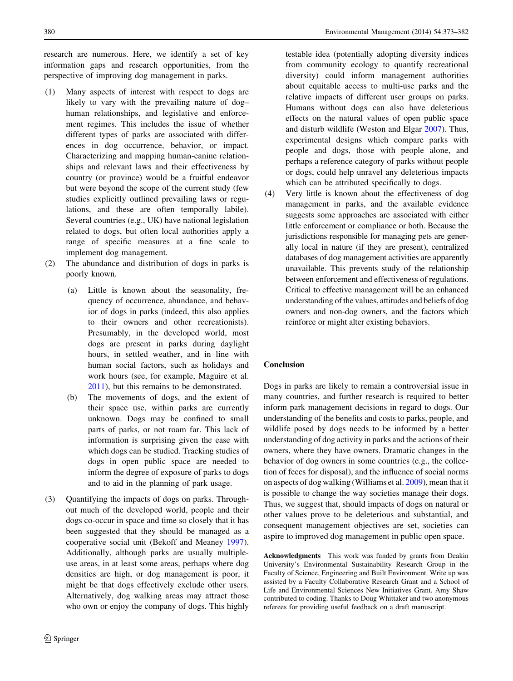research are numerous. Here, we identify a set of key information gaps and research opportunities, from the perspective of improving dog management in parks.

- (1) Many aspects of interest with respect to dogs are likely to vary with the prevailing nature of dog– human relationships, and legislative and enforcement regimes. This includes the issue of whether different types of parks are associated with differences in dog occurrence, behavior, or impact. Characterizing and mapping human-canine relationships and relevant laws and their effectiveness by country (or province) would be a fruitful endeavor but were beyond the scope of the current study (few studies explicitly outlined prevailing laws or regulations, and these are often temporally labile). Several countries (e.g., UK) have national legislation related to dogs, but often local authorities apply a range of specific measures at a fine scale to implement dog management.
- (2) The abundance and distribution of dogs in parks is poorly known.
	- (a) Little is known about the seasonality, frequency of occurrence, abundance, and behavior of dogs in parks (indeed, this also applies to their owners and other recreationists). Presumably, in the developed world, most dogs are present in parks during daylight hours, in settled weather, and in line with human social factors, such as holidays and work hours (see, for example, Maguire et al. [2011](#page-9-0)), but this remains to be demonstrated.
	- (b) The movements of dogs, and the extent of their space use, within parks are currently unknown. Dogs may be confined to small parts of parks, or not roam far. This lack of information is surprising given the ease with which dogs can be studied. Tracking studies of dogs in open public space are needed to inform the degree of exposure of parks to dogs and to aid in the planning of park usage.
- (3) Quantifying the impacts of dogs on parks. Throughout much of the developed world, people and their dogs co-occur in space and time so closely that it has been suggested that they should be managed as a cooperative social unit (Bekoff and Meaney [1997](#page-9-0)). Additionally, although parks are usually multipleuse areas, in at least some areas, perhaps where dog densities are high, or dog management is poor, it might be that dogs effectively exclude other users. Alternatively, dog walking areas may attract those who own or enjoy the company of dogs. This highly

testable idea (potentially adopting diversity indices from community ecology to quantify recreational diversity) could inform management authorities about equitable access to multi-use parks and the relative impacts of different user groups on parks. Humans without dogs can also have deleterious effects on the natural values of open public space and disturb wildlife (Weston and Elgar [2007](#page-10-0)). Thus, experimental designs which compare parks with people and dogs, those with people alone, and perhaps a reference category of parks without people or dogs, could help unravel any deleterious impacts which can be attributed specifically to dogs.

(4) Very little is known about the effectiveness of dog management in parks, and the available evidence suggests some approaches are associated with either little enforcement or compliance or both. Because the jurisdictions responsible for managing pets are generally local in nature (if they are present), centralized databases of dog management activities are apparently unavailable. This prevents study of the relationship between enforcement and effectiveness of regulations. Critical to effective management will be an enhanced understanding of the values, attitudes and beliefs of dog owners and non-dog owners, and the factors which reinforce or might alter existing behaviors.

# Conclusion

Dogs in parks are likely to remain a controversial issue in many countries, and further research is required to better inform park management decisions in regard to dogs. Our understanding of the benefits and costs to parks, people, and wildlife posed by dogs needs to be informed by a better understanding of dog activity in parks and the actions of their owners, where they have owners. Dramatic changes in the behavior of dog owners in some countries (e.g., the collection of feces for disposal), and the influence of social norms on aspects of dog walking (Williams et al. [2009](#page-10-0)), mean that it is possible to change the way societies manage their dogs. Thus, we suggest that, should impacts of dogs on natural or other values prove to be deleterious and substantial, and consequent management objectives are set, societies can aspire to improved dog management in public open space.

Acknowledgments This work was funded by grants from Deakin University's Environmental Sustainability Research Group in the Faculty of Science, Engineering and Built Environment. Write up was assisted by a Faculty Collaborative Research Grant and a School of Life and Environmental Sciences New Initiatives Grant. Amy Shaw contributed to coding. Thanks to Doug Whittaker and two anonymous referees for providing useful feedback on a draft manuscript.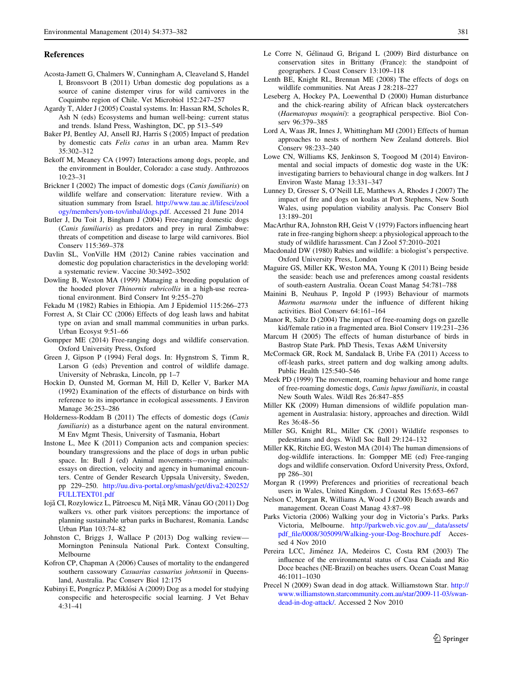#### <span id="page-9-0"></span>References

- Acosta-Jamett G, Chalmers W, Cunningham A, Cleaveland S, Handel I, Bronsvoort B (2011) Urban domestic dog populations as a source of canine distemper virus for wild carnivores in the Coquimbo region of Chile. Vet Microbiol 152:247–257
- Agardy T, Alder J (2005) Coastal systems. In: Hassan RM, Scholes R, Ash N (eds) Ecosystems and human well-being: current status and trends. Island Press, Washington, DC, pp 513–549
- Baker PJ, Bentley AJ, Ansell RJ, Harris S (2005) Impact of predation by domestic cats Felis catus in an urban area. Mamm Rev 35:302–312
- Bekoff M, Meaney CA (1997) Interactions among dogs, people, and the environment in Boulder, Colorado: a case study. Anthrozoos 10:23–31
- Brickner I (2002) The impact of domestic dogs (Canis familiaris) on wildlife welfare and conservation: literature review. With a situation summary from Israel. [http://www.tau.ac.il/lifesci/zool](http://www.tau.ac.il/lifesci/zoology/members/yom-tov/inbal/dogs.pdf) [ogy/members/yom-tov/inbal/dogs.pdf.](http://www.tau.ac.il/lifesci/zoology/members/yom-tov/inbal/dogs.pdf) Accessed 21 June 2014
- Butler J, Du Toit J, Bingham J (2004) Free-ranging domestic dogs (Canis familiaris) as predators and prey in rural Zimbabwe: threats of competition and disease to large wild carnivores. Biol Conserv 115:369–378
- Davlin SL, VonVille HM (2012) Canine rabies vaccination and domestic dog population characteristics in the developing world: a systematic review. Vaccine 30:3492–3502
- Dowling B, Weston MA (1999) Managing a breeding population of the hooded plover Thinornis rubricollis in a high-use recreational environment. Bird Conserv Int 9:255–270
- Fekadu M (1982) Rabies in Ethiopia. Am J Epidemiol 115:266–273
- Forrest A, St Clair CC (2006) Effects of dog leash laws and habitat type on avian and small mammal communities in urban parks. Urban Ecosyst 9:51–66
- Gompper ME (2014) Free-ranging dogs and wildlife conservation. Oxford University Press, Oxford
- Green J, Gipson P (1994) Feral dogs. In: Hygnstrom S, Timm R, Larson G (eds) Prevention and control of wildlife damage. University of Nebraska, Lincoln, pp 1–7
- Hockin D, Ounsted M, Gorman M, Hill D, Keller V, Barker MA (1992) Examination of the effects of disturbance on birds with reference to its importance in ecological assessments. J Environ Manage 36:253–286
- Holderness-Roddam B (2011) The effects of domestic dogs (Canis familiaris) as a disturbance agent on the natural environment. M Env Mgmt Thesis, University of Tasmania, Hobart
- Instone L, Mee K (2011) Companion acts and companion species: boundary transgressions and the place of dogs in urban public space. In: Bull J (ed) Animal movements-moving animals: essays on direction, velocity and agency in humanimal encounters. Centre of Gender Research Uppsala University, Sweden, pp 229–250. [http://uu.diva-portal.org/smash/get/diva2:420252/](http://uu.diva-portal.org/smash/get/diva2:420252/FULLTEXT01.pdf) [FULLTEXT01.pdf](http://uu.diva-portal.org/smash/get/diva2:420252/FULLTEXT01.pdf)
- Iojă CI, Rozylowicz L, Pătroescu M, Niță MR, Vânau GO (2011) Dog walkers vs. other park visitors perceptions: the importance of planning sustainable urban parks in Bucharest, Romania. Landsc Urban Plan 103:74–82
- Johnston C, Briggs J, Wallace P (2013) Dog walking review— Mornington Peninsula National Park. Context Consulting, Melbourne
- Kofron CP, Chapman A (2006) Causes of mortality to the endangered southern cassowary Casuarius casuarius johnsonii in Queensland, Australia. Pac Conserv Biol 12:175
- Kubinyi E, Pongrácz P, Miklósi A (2009) Dog as a model for studying conspecific and heterospecific social learning. J Vet Behav 4:31–41
- Le Corre N, Gélinaud G, Brigand L (2009) Bird disturbance on conservation sites in Brittany (France): the standpoint of geographers. J Coast Conserv 13:109–118
- Lenth BE, Knight RL, Brennan ME (2008) The effects of dogs on wildlife communities. Nat Areas J 28:218–227
- Leseberg A, Hockey PA, Loewenthal D (2000) Human disturbance and the chick-rearing ability of African black oystercatchers (Haematopus moquini): a geographical perspective. Biol Conserv 96:379–385
- Lord A, Waas JR, Innes J, Whittingham MJ (2001) Effects of human approaches to nests of northern New Zealand dotterels. Biol Conserv 98:233–240
- Lowe CN, Williams KS, Jenkinson S, Toogood M (2014) Environmental and social impacts of domestic dog waste in the UK: investigating barriers to behavioural change in dog walkers. Int J Environ Waste Manag 13:331–347
- Lunney D, Gresser S, O'Neill LE, Matthews A, Rhodes J (2007) The impact of fire and dogs on koalas at Port Stephens, New South Wales, using population viability analysis. Pac Conserv Biol 13:189–201
- MacArthur RA, Johnston RH, Geist V (1979) Factors influencing heart rate in free-ranging bighorn sheep: a physiological approach to the study of wildlife harassment. Can J Zool 57:2010–2021
- Macdonald DW (1980) Rabies and wildlife: a biologist's perspective. Oxford University Press, London
- Maguire GS, Miller KK, Weston MA, Young K (2011) Being beside the seaside: beach use and preferences among coastal residents of south-eastern Australia. Ocean Coast Manag 54:781–788
- Mainini B, Neuhaus P, Ingold P (1993) Behaviour of marmots Marmota marmota under the influence of different hiking activities. Biol Conserv 64:161–164
- Manor R, Saltz D (2004) The impact of free-roaming dogs on gazelle kid/female ratio in a fragmented area. Biol Conserv 119:231–236
- Marcum H (2005) The effects of human disturbance of birds in Bastrop State Park. PhD Thesis, Texas A&M University
- McCormack GR, Rock M, Sandalack B, Uribe FA (2011) Access to off-leash parks, street pattern and dog walking among adults. Public Health 125:540–546
- Meek PD (1999) The movement, roaming behaviour and home range of free-roaming domestic dogs, Canis lupus familiaris, in coastal New South Wales. Wildl Res 26:847–855
- Miller KK (2009) Human dimensions of wildlife population management in Australasia: history, approaches and direction. Wildl Res 36:48–56
- Miller SG, Knight RL, Miller CK (2001) Wildlife responses to pedestrians and dogs. Wildl Soc Bull 29:124–132
- Miller KK, Ritchie EG, Weston MA (2014) The human dimensions of dog-wildlife interactions. In: Gompper ME (ed) Free-ranging dogs and wildlife conservation. Oxford University Press, Oxford, pp 286–301
- Morgan R (1999) Preferences and priorities of recreational beach users in Wales, United Kingdom. J Coastal Res 15:653–667
- Nelson C, Morgan R, Williams A, Wood J (2000) Beach awards and management. Ocean Coast Manag 43:87–98
- Parks Victoria (2006) Walking your dog in Victoria's Parks. Parks Victoria, Melbourne. [http://parkweb.vic.gov.au/\\_\\_data/assets/](http://parkweb.vic.gov.au/__data/assets/pdf_file/0008/305099/Walking-your-Dog-Brochure.pdf) [pdf\\_file/0008/305099/Walking-your-Dog-Brochure.pdf](http://parkweb.vic.gov.au/__data/assets/pdf_file/0008/305099/Walking-your-Dog-Brochure.pdf) Accessed 4 Nov 2010
- Pereira LCC, Jiménez JA, Medeiros C, Costa RM (2003) The influence of the environmental status of Casa Caiada and Rio Doce beaches (NE-Brazil) on beaches users. Ocean Coast Manag 46:1011–1030
- Precel N (2009) Swan dead in dog attack. Williamstown Star. [http://](http://www.williamstown.starcommunity.com.au/star/2009-11-03/swan-dead-in-dog-attack/) [www.williamstown.starcommunity.com.au/star/2009-11-03/swan](http://www.williamstown.starcommunity.com.au/star/2009-11-03/swan-dead-in-dog-attack/)[dead-in-dog-attack/](http://www.williamstown.starcommunity.com.au/star/2009-11-03/swan-dead-in-dog-attack/). Accessed 2 Nov 2010